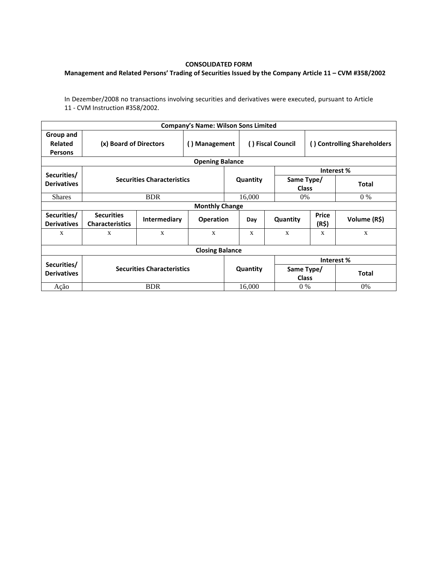## **CONSOLIDATED FORM**

## **Management and Related Persons' Trading of Securities Issued by the Company Article 11 – CVM #358/2002**

In Dezember/2008 no transactions involving securities and derivatives were executed, pursuant to Article 11 - CVM Instruction #358/2002.

|                                                         |                                             |                     | <b>Company's Name: Wilson Sons Limited</b> |                   |          |                             |                |              |  |  |
|---------------------------------------------------------|---------------------------------------------|---------------------|--------------------------------------------|-------------------|----------|-----------------------------|----------------|--------------|--|--|
| Group and<br><b>Related</b><br><b>Persons</b>           | (x) Board of Directors                      | () Management       |                                            | () Fiscal Council |          | () Controlling Shareholders |                |              |  |  |
|                                                         |                                             |                     | <b>Opening Balance</b>                     |                   |          |                             |                |              |  |  |
| Securities/                                             |                                             |                     |                                            |                   |          |                             | Interest %     |              |  |  |
| <b>Securities Characteristics</b><br><b>Derivatives</b> |                                             |                     |                                            |                   | Quantity | Same Type/<br><b>Class</b>  |                | <b>Total</b> |  |  |
| <b>Shares</b>                                           | <b>BDR</b>                                  |                     |                                            |                   | 16,000   |                             | 0%<br>$0\%$    |              |  |  |
| <b>Monthly Change</b>                                   |                                             |                     |                                            |                   |          |                             |                |              |  |  |
| Securities/<br><b>Derivatives</b>                       | <b>Securities</b><br><b>Characteristics</b> | <b>Intermediary</b> | <b>Operation</b>                           |                   | Day      | Quantity                    | Price<br>(R\$) | Volume (R\$) |  |  |
| X                                                       | X                                           | X                   | X                                          |                   | X        | $\mathbf{x}$                | X              | X            |  |  |
|                                                         |                                             |                     | <b>Closing Balance</b>                     |                   |          |                             |                |              |  |  |
|                                                         |                                             |                     |                                            |                   |          | Interest %                  |                |              |  |  |
| Securities/<br><b>Derivatives</b>                       | <b>Securities Characteristics</b>           |                     |                                            | Quantity          |          | Same Type/<br><b>Class</b>  |                | <b>Total</b> |  |  |
| Ação                                                    | <b>BDR</b>                                  |                     |                                            | 16,000            |          | $0\%$                       |                | $0\%$        |  |  |